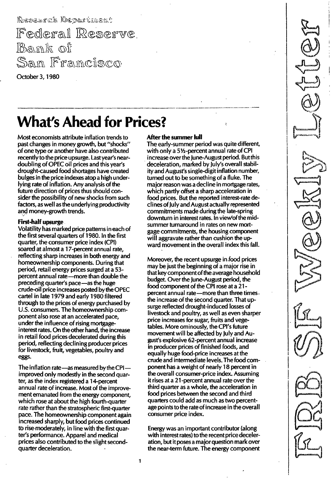Research Department Federal Reserve <u>Bank</u> of San Framcisco October 3, 1 980

# What's Ahead for Prices?

Most economists attribute inflation trends to past changes in money growth, but "shocks" of one type or another have also contributed recently to the price upsurge. Last year's neardoubling of OPEC oil prices and this year's drought-caused food shortages have created bulges in the price indexes atop a high underlying rate of inflation. Any analysis of the future direction of prices thus should consider the possibility of new shocks from such factors, as well as the underlying productivity and money-growth trends.

### first-half upsurge

Volatility has marked price patterns in each of the first several quarters of 1 980. In the first quarter, the consumer price index (CPI) soared at almost a 17-percent annual rate, reflecting sharp increases in both energy and homeownership components. During that period, retail energy prices surged at a 53 percent annual rate-more than double the preceding quarter's pace-as the huge crude-oil price increases posted by the OPEC cartel in late 1 979 and early 1 980 filtered through to the prices of energy purchased by U.S. consumers. The homeownership component also rose at an accelerated pace, under the influence of rising mortgageinterest rates. On the other hand, the increase in retail food prices decelerated during this period, reflecting declining producer prices for livestock, fruit, vegetables, poultry and eggs.

The inflation rate-as measured by the CPIimproved only modestly in the second quarter, as the index registered a 1 4-percent annual rate of increase. Most of the improvement emanated from the energy component, which rose at about the high fourth-quarter rate rather than the stratospheric first-quarter pace. The homeownership component again increased sharply, but food prices continued to rise moderately, in line with the first quarter's performance. Apparel and medical prices also contributed to the slight secondquarter deceleration.

### After the summer lull

The early-summer period was quite different, with only a 5Y2-percent annual rate of CPI increase over the June-August period. But this deceleration, marked by July's overall stability and August's single-digit inflation number, turned out to be something of a fluke. The major reason was a decline in mortgage rates, which partly offset a sharp acceleration in food prices. But the reported interest-rate declines of July and August actually represented commitments made during the late-spring downturn in interest rates. In view of the midsummer turnaround in rates on new mortgage commitments, the housing component will aggravate rather than cushion the upward movement in the overall index this fall.

Moreover, the recent upsurge in .food prices may be just the beginning of a major rise in that key component of the average household budget. Over the June-August period, the food component of the CPI rose at a 21 percent annual rate-more than three timesthe increase of the second quarter. That upsurge reflected drought-induced losses of livestock and poultry, as well as even sharper price increases for sugar, fruits and vegetables. More ominously, the CPl's future movement will be affected by July and August's explosive 62-percent annual increase in producer prices of finished foods, and equally huge food-price increases at the crude and intermediate levels. The food component has a weight of nearly 18 percent in the overall consumer-price index. Assuming it rises at a 21 -percent annual rate over the third quarter as a whole, the acceleration in food prices between the second and third quarters could add as much as two percentage points to the rate of increase in the overall consumer price index.

Energy was an important contributor (along with interest rates) to the recent price deceleration, but it poses a major question mark over the near-term future. The energy component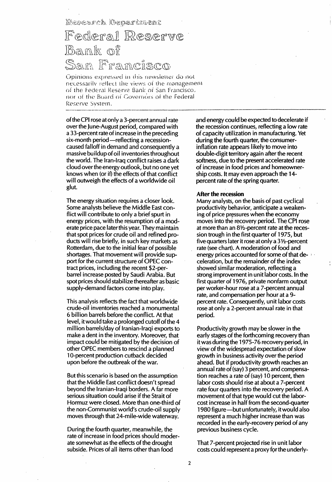Research Oepartment

# Federal Reserve Ro »ImaGl Sam Francisco

Opinions expressed in this newsletter do not necessarily reflect the views of the management of the Federal Reserve Bank of San Francisco, nor of the Board of Governors of the Federal Reserve System.

of the CPI rose atonly a 3-percent annual rate over the June-August period, compared with a 33-percent rate of increase in the preceding six-month period—reflecting a recessioncaused falloff in demand and consequently a massive buildup of oil inventories throughout the world. The Iran-Iraq conflict raises a dark cloud over the energy outlook, but no one yet knows when (or if) the effects of that conflict will outweigh the effects of a worldwide oil glut.

The energy situation requires a closer look. Some analysts believe the Middle East conflict will contribute to only a brief spurt in energy prices, with the resumption of a moderate price pace later this year. They maintain that spot prices for crude oil and refined products will rise briefly, in such key markets as Rotterdam, due to the initial fear of possible shortages. That movement will provide support for the current structure of OPEC contract prices, including the recent \$2-perbarrel increase posted by Saudi Arabia. But spot prices should stabilize thereafter as basic supply-demand factors come into play.

This analysis reflects the fact that worldwide crude-oil inventories reached a monumental 6 billion barrels before the conflict. At that level, it would take a prolonged cutoff of the 4 million barrels/day of Iranian-Iraqi exports to make a dent in the inventory. Moreover, that impact could be mitigated by the decision of other OPEC members to rescind a planned 10-percent production cutback decided upon before the outbreak of the war.

But this scenario is based on the assumption that the Middle East conflict doesn't spread beyond the Iranian-Iraqi borders. A far more serious situation could arise if the Strait of Hormuz were closed. More than one-third of the non-Communist world's crude-oil supply moves through that 24-mile-wide waterway.

During the fourth quarter, meanwhile, the rate of increase in food prices should moderate somewhat as the effects of the drought subside. Prices of all items other than food

and energy could be expected to decelerate if the recession continues, reflecting a low rate of capacity utilization in manufacturing. Yet during the fourth quarter, the consumerinflation rate appears likely to move into double-digit territory again after the recent softness, due to the present accelerated rate of increase in food prices and homeownership costs. It may even approach the 1 4 percent rate of the spring quarter.

#### After the recession

Many analysts, on the basis of past cyclical productivity behavior, anticipate a weakening of price pressures when the economy moves into the recovery period. The CPI rose at more than an 8V2-percent rate at the recession trough in the first quarter of 1 975, but five quarters later it rose at only a 3 V2-percent rate (see chart). A moderation of food and energy prices accounted for some of that deceleration, but the remainder of the index showed similar moderation, reflecting a strong improvement in unit labor costs. In the first quarter of 1976, private nonfarm output per worker-hour rose at a 7-percent annual rate, and compensation per hour at a 9 percent rate. Consequently, unit labor costs rose at only a 2-percent annual rate in that period.

Productivity growth may be slower in the early stages of the forthcoming recovery than it was during the 1 975-76 recovery period, in view of the widespread expectation of slow growth in business activity over the period ahead. But if productivity growth reaches an annual rate of (say) 3 percent, and compensation reaches a rate of (say) 10 percent, then labor costs should rise at about a 7-percent rate four quarters into the recovery period. A movement of that type would cut the laborcost increase in half from the second-quarter 1 980 figure-but unfortunately, itwould also represent a much higher increase than was recorded in the early-recovery period of any previous business cycle.

That 7 -percent projected rise in unit labor costs could represent a proxy for the underly-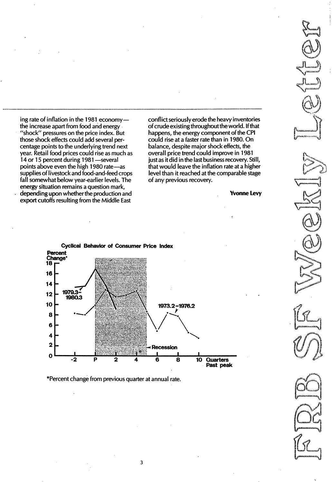ing rate of inflation in the 1981 economythe increase apart from food and energy "shock" pressures on the price index. But those shock effects could add several percentage points to the underlying trend next year. Retail food prices could rise as much as 14 or 15 percent during 1981—several points above even the high 1980 rate-as supplies of livestock and food-and-feed crops fall somewhat below year-earlier levels. The energy situation remains a question mark, depending upon whether the production and export cutoffs resulting from the Middle East

conflict seriously erode the heavy inventories of crude existing throughout the world. If that happens, the energy component of the CPI could rise at a faster rate than in 1 980. On balance, despite major shock effects, the overall price trend could improve in 1981 just as it did in the last business recovery. Still, that would leave the inflation rate at a higher level than it reached at the comparable stage of any previous recovery.

Yvonne levy



\*Percent change from previous quarter at annual rate.